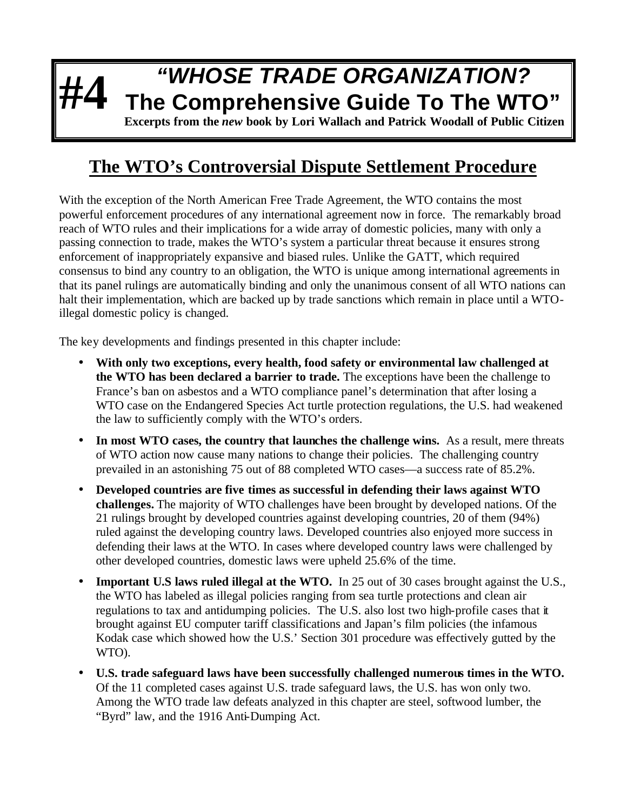## **#4** *"WHOSE TRADE ORGANIZATION?* **The Comprehensive Guide To The WTO" Excerpts from the** *new* **book by Lori Wallach and Patrick Woodall of Public Citizen**

## **The WTO's Controversial Dispute Settlement Procedure**

With the exception of the North American Free Trade Agreement, the WTO contains the most powerful enforcement procedures of any international agreement now in force. The remarkably broad reach of WTO rules and their implications for a wide array of domestic policies, many with only a passing connection to trade, makes the WTO's system a particular threat because it ensures strong enforcement of inappropriately expansive and biased rules. Unlike the GATT, which required consensus to bind any country to an obligation, the WTO is unique among international agreements in that its panel rulings are automatically binding and only the unanimous consent of all WTO nations can halt their implementation, which are backed up by trade sanctions which remain in place until a WTOillegal domestic policy is changed.

The key developments and findings presented in this chapter include:

- **With only two exceptions, every health, food safety or environmental law challenged at the WTO has been declared a barrier to trade.** The exceptions have been the challenge to France's ban on asbestos and a WTO compliance panel's determination that after losing a WTO case on the Endangered Species Act turtle protection regulations, the U.S. had weakened the law to sufficiently comply with the WTO's orders.
- In most WTO cases, the country that launches the challenge wins. As a result, mere threats of WTO action now cause many nations to change their policies. The challenging country prevailed in an astonishing 75 out of 88 completed WTO cases—a success rate of 85.2%.
- **Developed countries are five times as successful in defending their laws against WTO challenges.** The majority of WTO challenges have been brought by developed nations. Of the 21 rulings brought by developed countries against developing countries, 20 of them (94%) ruled against the developing country laws. Developed countries also enjoyed more success in defending their laws at the WTO. In cases where developed country laws were challenged by other developed countries, domestic laws were upheld 25.6% of the time.
- **Important U.S laws ruled illegal at the WTO.** In 25 out of 30 cases brought against the U.S., the WTO has labeled as illegal policies ranging from sea turtle protections and clean air regulations to tax and antidumping policies. The U.S. also lost two high-profile cases that it brought against EU computer tariff classifications and Japan's film policies (the infamous Kodak case which showed how the U.S.' Section 301 procedure was effectively gutted by the WTO).
- **U.S. trade safeguard laws have been successfully challenged numerous times in the WTO.**  Of the 11 completed cases against U.S. trade safeguard laws, the U.S. has won only two. Among the WTO trade law defeats analyzed in this chapter are steel, softwood lumber, the "Byrd" law, and the 1916 Anti-Dumping Act.